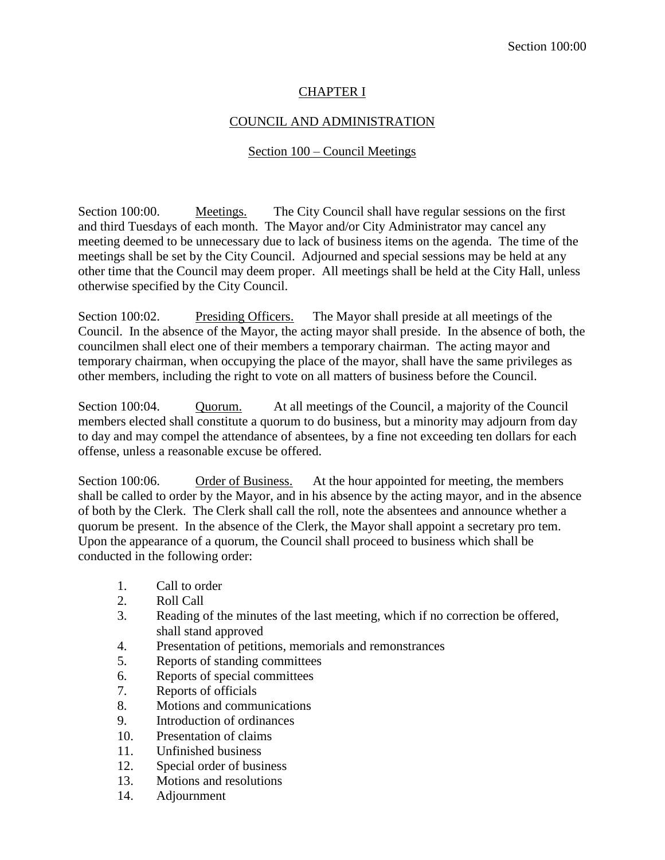## CHAPTER I

## COUNCIL AND ADMINISTRATION

## Section 100 – Council Meetings

Section 100:00. Meetings. The City Council shall have regular sessions on the first and third Tuesdays of each month. The Mayor and/or City Administrator may cancel any meeting deemed to be unnecessary due to lack of business items on the agenda. The time of the meetings shall be set by the City Council. Adjourned and special sessions may be held at any other time that the Council may deem proper. All meetings shall be held at the City Hall, unless otherwise specified by the City Council.

Section 100:02. Presiding Officers. The Mayor shall preside at all meetings of the Council. In the absence of the Mayor, the acting mayor shall preside. In the absence of both, the councilmen shall elect one of their members a temporary chairman. The acting mayor and temporary chairman, when occupying the place of the mayor, shall have the same privileges as other members, including the right to vote on all matters of business before the Council.

Section 100:04. Quorum. At all meetings of the Council, a majority of the Council members elected shall constitute a quorum to do business, but a minority may adjourn from day to day and may compel the attendance of absentees, by a fine not exceeding ten dollars for each offense, unless a reasonable excuse be offered.

Section 100:06. Order of Business. At the hour appointed for meeting, the members shall be called to order by the Mayor, and in his absence by the acting mayor, and in the absence of both by the Clerk. The Clerk shall call the roll, note the absentees and announce whether a quorum be present. In the absence of the Clerk, the Mayor shall appoint a secretary pro tem. Upon the appearance of a quorum, the Council shall proceed to business which shall be conducted in the following order:

- 1. Call to order
- 2. Roll Call
- 3. Reading of the minutes of the last meeting, which if no correction be offered, shall stand approved
- 4. Presentation of petitions, memorials and remonstrances
- 5. Reports of standing committees
- 6. Reports of special committees
- 7. Reports of officials
- 8. Motions and communications
- 9. Introduction of ordinances
- 10. Presentation of claims
- 11. Unfinished business
- 12. Special order of business
- 13. Motions and resolutions
- 14. Adjournment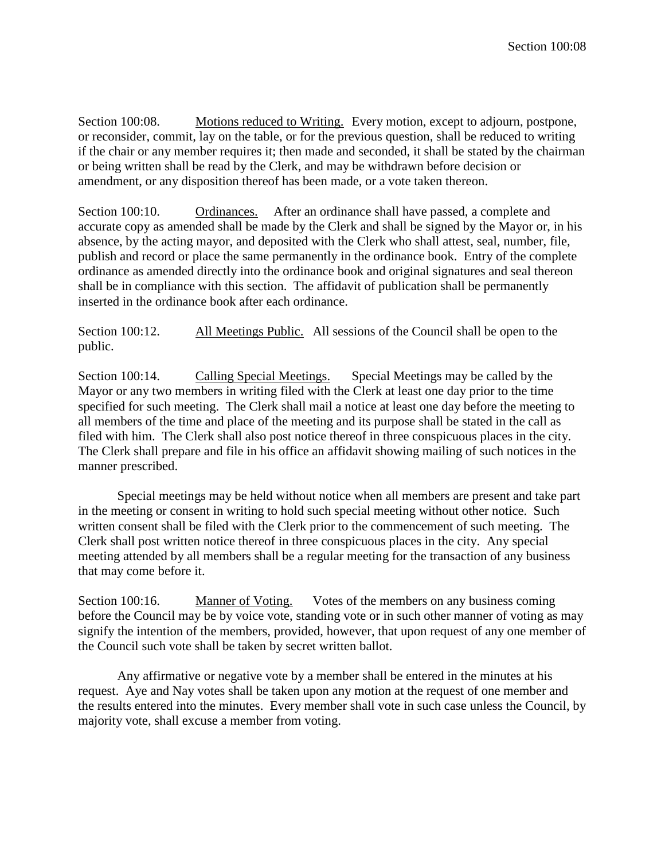Section 100:08. Motions reduced to Writing. Every motion, except to adjourn, postpone, or reconsider, commit, lay on the table, or for the previous question, shall be reduced to writing if the chair or any member requires it; then made and seconded, it shall be stated by the chairman or being written shall be read by the Clerk, and may be withdrawn before decision or amendment, or any disposition thereof has been made, or a vote taken thereon.

Section 100:10. Ordinances. After an ordinance shall have passed, a complete and accurate copy as amended shall be made by the Clerk and shall be signed by the Mayor or, in his absence, by the acting mayor, and deposited with the Clerk who shall attest, seal, number, file, publish and record or place the same permanently in the ordinance book. Entry of the complete ordinance as amended directly into the ordinance book and original signatures and seal thereon shall be in compliance with this section. The affidavit of publication shall be permanently inserted in the ordinance book after each ordinance.

Section 100:12. All Meetings Public. All sessions of the Council shall be open to the public.

Section 100:14. Calling Special Meetings. Special Meetings may be called by the Mayor or any two members in writing filed with the Clerk at least one day prior to the time specified for such meeting. The Clerk shall mail a notice at least one day before the meeting to all members of the time and place of the meeting and its purpose shall be stated in the call as filed with him. The Clerk shall also post notice thereof in three conspicuous places in the city. The Clerk shall prepare and file in his office an affidavit showing mailing of such notices in the manner prescribed.

Special meetings may be held without notice when all members are present and take part in the meeting or consent in writing to hold such special meeting without other notice. Such written consent shall be filed with the Clerk prior to the commencement of such meeting. The Clerk shall post written notice thereof in three conspicuous places in the city. Any special meeting attended by all members shall be a regular meeting for the transaction of any business that may come before it.

Section 100:16. Manner of Voting. Votes of the members on any business coming before the Council may be by voice vote, standing vote or in such other manner of voting as may signify the intention of the members, provided, however, that upon request of any one member of the Council such vote shall be taken by secret written ballot.

Any affirmative or negative vote by a member shall be entered in the minutes at his request. Aye and Nay votes shall be taken upon any motion at the request of one member and the results entered into the minutes. Every member shall vote in such case unless the Council, by majority vote, shall excuse a member from voting.